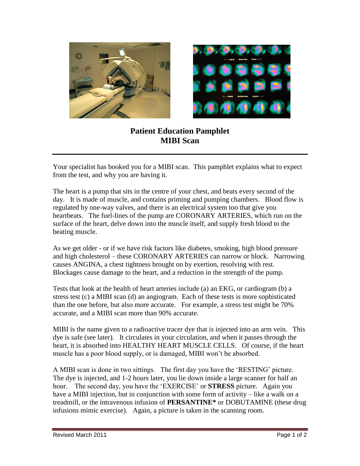



## **Patient Education Pamphlet MIBI Scan**

Your specialist has booked you for a MIBI scan. This pamphlet explains what to expect from the test, and why you are having it.

The heart is a pump that sits in the centre of your chest, and beats every second of the day. It is made of muscle, and contains priming and pumping chambers. Blood flow is regulated by one-way valves, and there is an electrical system too that give you heartbeats. The fuel-lines of the pump are CORONARY ARTERIES, which run on the surface of the heart, delve down into the muscle itself, and supply fresh blood to the beating muscle.

As we get older - or if we have risk factors like diabetes, smoking, high blood pressure and high cholesterol – these CORONARY ARTERIES can narrow or block. Narrowing causes ANGINA, a chest tightness brought on by exertion, resolving with rest. Blockages cause damage to the heart, and a reduction in the strength of the pump.

Tests that look at the health of heart arteries include (a) an EKG, or cardiogram (b) a stress test (c) a MIBI scan (d) an angiogram. Each of these tests is more sophisticated than the one before, but also more accurate. For example, a stress test might be 70% accurate, and a MIBI scan more than 90% accurate.

MIBI is the name given to a radioactive tracer dye that is injected into an arm vein. This dye is safe (see later). It circulates in your circulation, and when it passes through the heart, it is absorbed into HEALTHY HEART MUSCLE CELLS. Of course, if the heart muscle has a poor blood supply, or is damaged, MIBI won't be absorbed.

A MIBI scan is done in two sittings. The first day you have the 'RESTING' picture. The dye is injected, and 1-2 hours later, you lie down inside a large scanner for half an hour. The second day, you have the 'EXERCISE' or **STRESS** picture. Again you have a MIBI injection, but in conjunction with some form of activity – like a walk on a treadmill, or the intravenous infusion of **PERSANTINE\*** or DOBUTAMINE (these drug infusions mimic exercise). Again, a picture is taken in the scanning room.